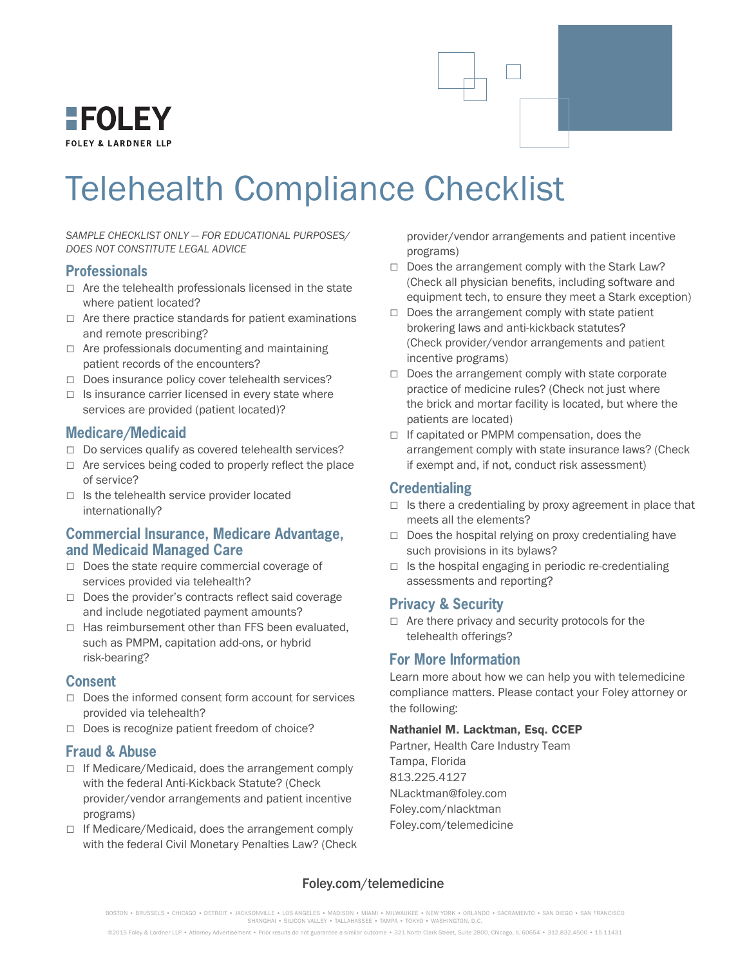

# Telehealth Compliance Checklist

*SAMPLE CHECKLIST ONLY — FOR EDUCATIONAL PURPOSES/ DOES NOT CONSTITUTE LEGAL ADVICE*

#### **Professionals**

- □ Are the telehealth professionals licensed in the state where patient located?
- $\Box$  Are there practice standards for patient examinations and remote prescribing?
- □ Are professionals documenting and maintaining patient records of the encounters?
- □ Does insurance policy cover telehealth services?
- $\Box$  Is insurance carrier licensed in every state where services are provided (patient located)?

#### **Medicare/Medicaid**

- □ Do services qualify as covered telehealth services?
- $\Box$  Are services being coded to properly reflect the place of service?
- $\Box$  Is the telehealth service provider located internationally?

#### **Commercial Insurance, Medicare Advantage, and Medicaid Managed Care**

- □ Does the state require commercial coverage of services provided via telehealth?
- □ Does the provider's contracts reflect said coverage and include negotiated payment amounts?
- $\Box$  Has reimbursement other than FFS been evaluated, such as PMPM, capitation add-ons, or hybrid risk-bearing?

#### **Consent**

- □ Does the informed consent form account for services provided via telehealth?
- □ Does is recognize patient freedom of choice?

#### **Fraud & Abuse**

- $\Box$  If Medicare/Medicaid, does the arrangement comply with the federal Anti-Kickback Statute? (Check provider/vendor arrangements and patient incentive programs)
- $\Box$  If Medicare/Medicaid, does the arrangement comply with the federal Civil Monetary Penalties Law? (Check

provider/vendor arrangements and patient incentive programs)

- $\Box$  Does the arrangement comply with the Stark Law? (Check all physician benefits, including software and equipment tech, to ensure they meet a Stark exception)
- $\Box$  Does the arrangement comply with state patient brokering laws and anti-kickback statutes? (Check provider/vendor arrangements and patient incentive programs)
- $\Box$  Does the arrangement comply with state corporate practice of medicine rules? (Check not just where the brick and mortar facility is located, but where the patients are located)
- □ If capitated or PMPM compensation, does the arrangement comply with state insurance laws? (Check if exempt and, if not, conduct risk assessment)

# **Credentialing**

- $\Box$  Is there a credentialing by proxy agreement in place that meets all the elements?
- □ Does the hospital relying on proxy credentialing have such provisions in its bylaws?
- $\Box$  Is the hospital engaging in periodic re-credentialing assessments and reporting?

#### **Privacy & Security**

 $\Box$  Are there privacy and security protocols for the telehealth offerings?

# **For More Information**

Learn more about how we can help you with telemedicine compliance matters. Please contact your Foley attorney or the following:

#### Nathaniel M. Lacktman, Esq. CCEP

Partner, Health Care Industry Team Tampa, Florida 813.225.4127 NLacktman@foley.com Foley.com/nlacktman Foley.com/telemedicine

#### Foley.com/telemedicine

BOSTON • BRUSSELS • CHICAGO • DETROIT • JACKSONVILLE • LOS ANGELES • MADISON • MIAMI • MILWAUKEE • NEW YORK • ORLANDO • SACRAMENTO • SAN DIEGO • SAN FRANCISCO<br>SHANGHAI • SILICON VALLEY • TALLAHASSEE • TAMPA • TOKYO • WASHI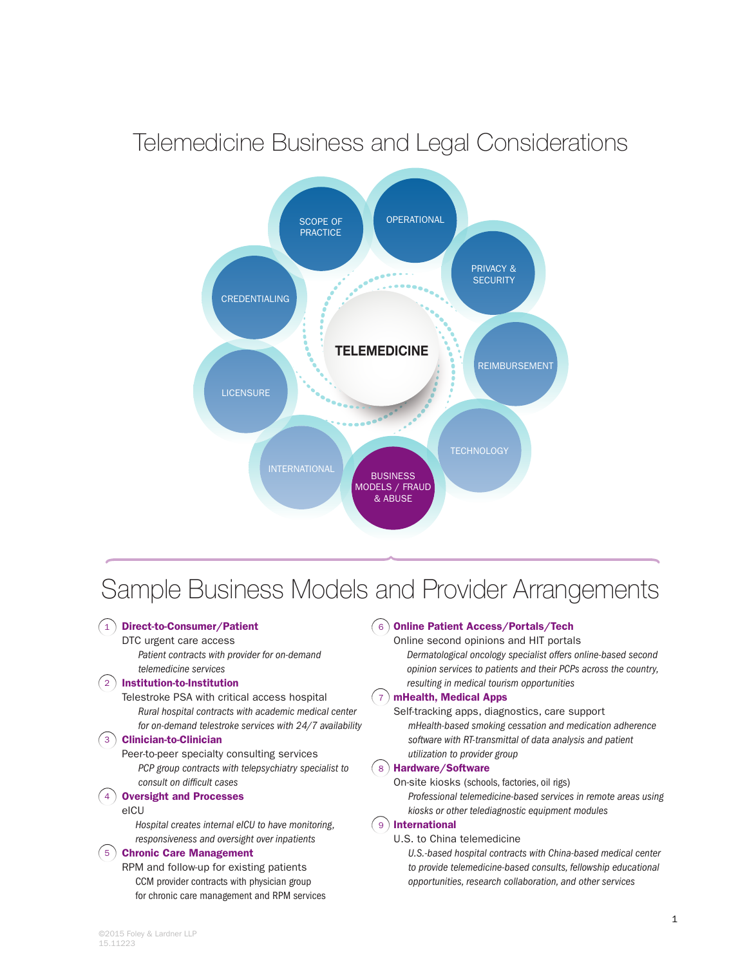# Telemedicine Business and Legal Considerations



# Sample Business Models and Provider Arrangements

#### 1) Direct-to-Consumer/Patient

#### DTC urgent care access

*Patient contracts with provider for on-demand telemedicine services*

#### 2) Institution-to-Institution

Telestroke PSA with critical access hospital *Rural hospital contracts with academic medical center for on-demand telestroke services with 24/7 availability*

#### 3) Clinician-to-Clinician

Peer-to-peer specialty consulting services *PCP group contracts with telepsychiatry specialist to consult on difcult cases*

#### 4) Oversight and Processes

eICU

*Hospital creates internal eICU to have monitoring, responsiveness and oversight over inpatients*

#### 5) Chronic Care Management

RPM and follow-up for existing patients CCM provider contracts with physician group for chronic care management and RPM services

#### $6$  ) Online Patient Access/Portals/Tech

Online second opinions and HIT portals

*Dermatological oncology specialist offers online-based second opinion services to patients and their PCPs across the country, resulting in medical tourism opportunities*

#### 7) mHealth, Medical Apps

Self-tracking apps, diagnostics, care support *mHealth-based smoking cessation and medication adherence software with RT-transmittal of data analysis and patient utilization to provider group*

#### 8) Hardware/Software

On-site kiosks (schools, factories, oil rigs) *Professional telemedicine-based services in remote areas using kiosks or other telediagnostic equipment modules*

#### International 9

U.S. to China telemedicine

*U.S.-based hospital contracts with China-based medical center to provide telemedicine-based consults, fellowship educational opportunities, research collaboration, and other services*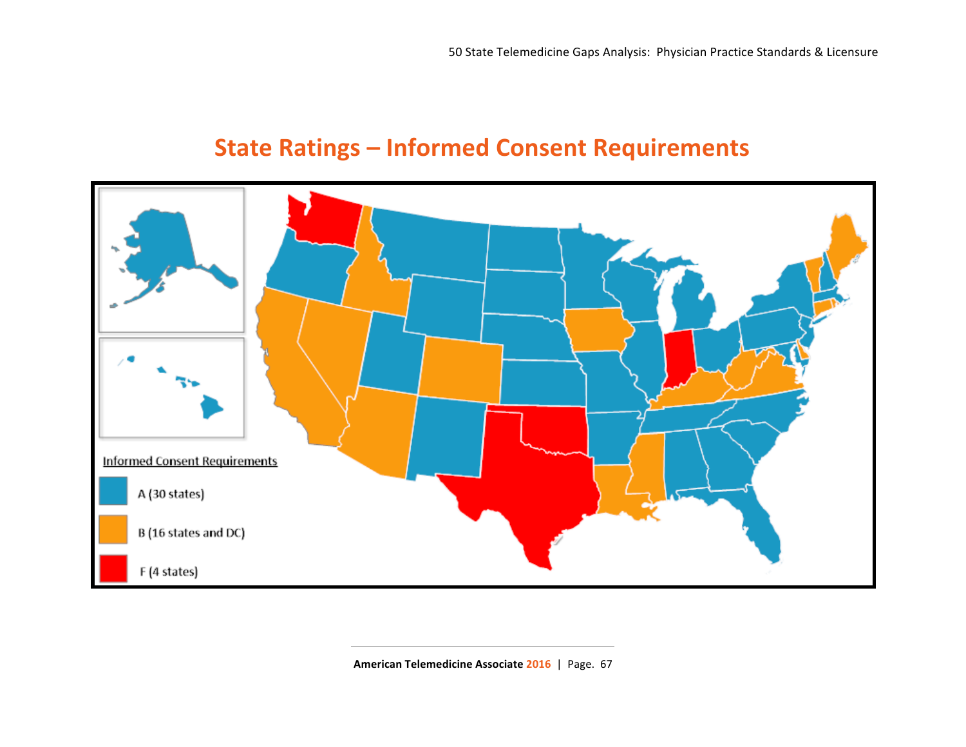# **State Ratings - Informed Consent Requirements**



American Telemedicine Associate 2016 | Page. 67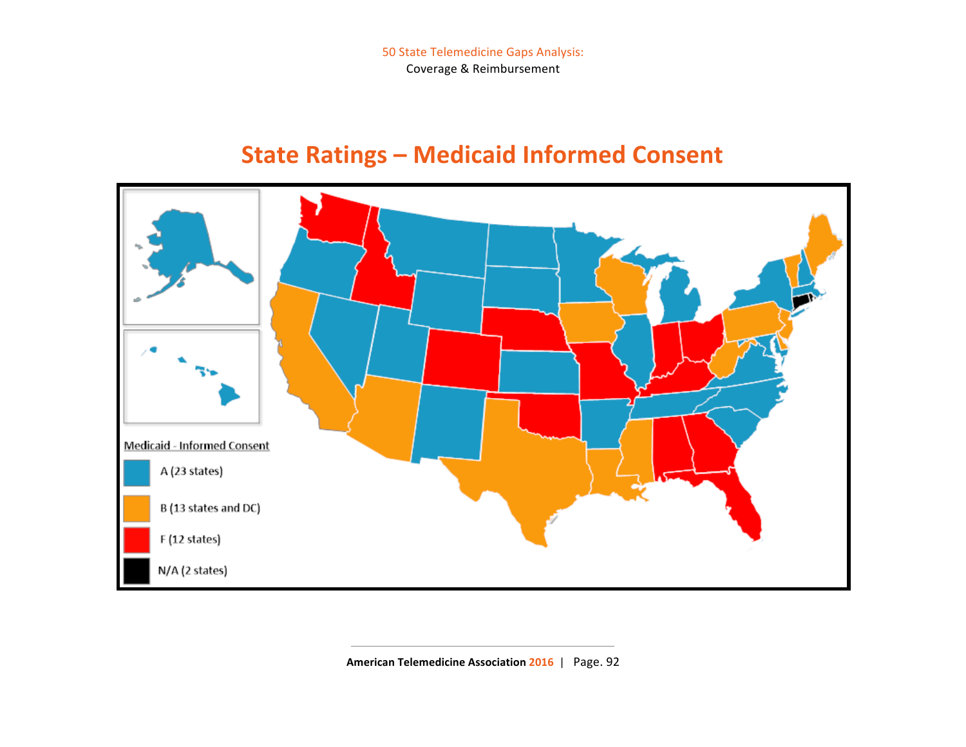50 State Telemedicine Gaps Analysis: Coverage & Reimbursement

# **State Ratings - Medicaid Informed Consent**



American Telemedicine Association 2016 | Page. 92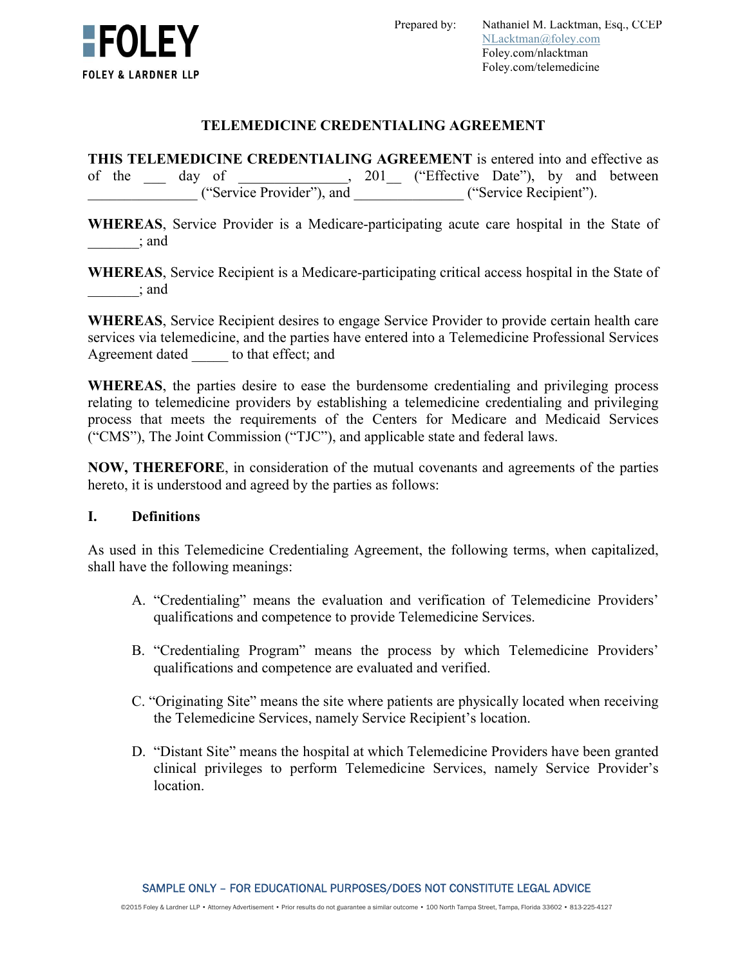

### **TELEMEDICINE CREDENTIALING AGREEMENT**

**THIS TELEMEDICINE CREDENTIALING AGREEMENT** is entered into and effective as of the day of , 201 ("Effective Date"), by and between \_\_\_\_\_\_\_\_\_\_\_\_\_\_\_ ("Service Provider"), and \_\_\_\_\_\_\_\_\_\_\_\_\_\_\_ ("Service Recipient").

**WHEREAS**, Service Provider is a Medicare-participating acute care hospital in the State of  $\vdots$  and

**WHEREAS**, Service Recipient is a Medicare-participating critical access hospital in the State of \_\_\_\_\_\_\_; and

**WHEREAS**, Service Recipient desires to engage Service Provider to provide certain health care services via telemedicine, and the parties have entered into a Telemedicine Professional Services Agreement dated to that effect; and

**WHEREAS**, the parties desire to ease the burdensome credentialing and privileging process relating to telemedicine providers by establishing a telemedicine credentialing and privileging process that meets the requirements of the Centers for Medicare and Medicaid Services ("CMS"), The Joint Commission ("TJC"), and applicable state and federal laws.

**NOW, THEREFORE**, in consideration of the mutual covenants and agreements of the parties hereto, it is understood and agreed by the parties as follows:

#### **I. Definitions**

As used in this Telemedicine Credentialing Agreement, the following terms, when capitalized, shall have the following meanings:

- A. "Credentialing" means the evaluation and verification of Telemedicine Providers' qualifications and competence to provide Telemedicine Services.
- B. "Credentialing Program" means the process by which Telemedicine Providers' qualifications and competence are evaluated and verified.
- C. "Originating Site" means the site where patients are physically located when receiving the Telemedicine Services, namely Service Recipient's location.
- D. "Distant Site" means the hospital at which Telemedicine Providers have been granted clinical privileges to perform Telemedicine Services, namely Service Provider's location.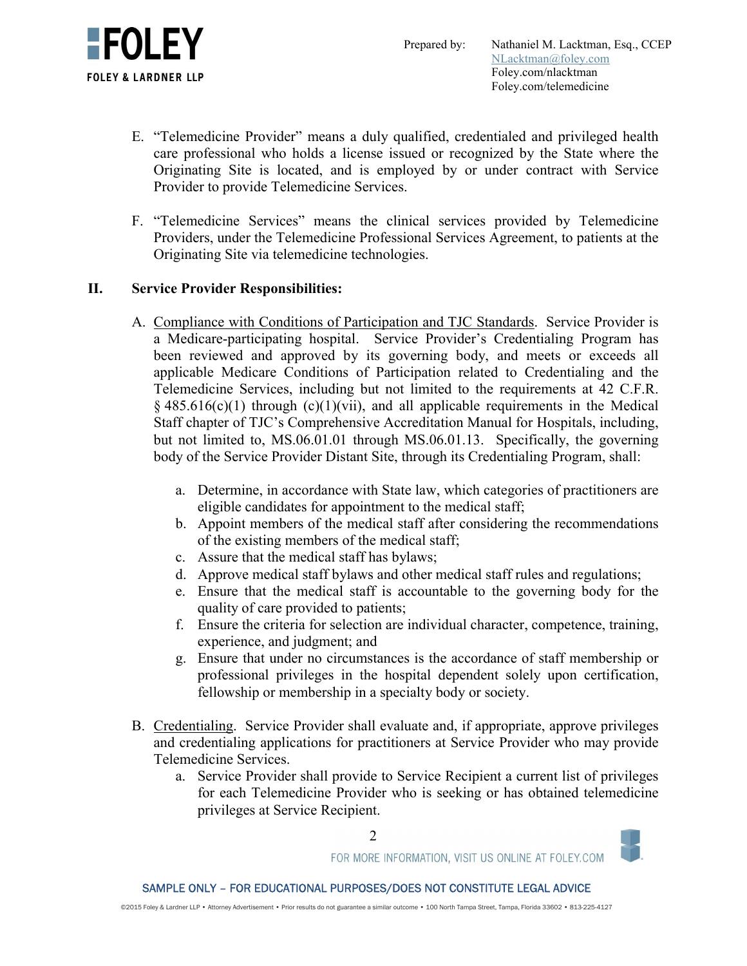

- E. "Telemedicine Provider" means a duly qualified, credentialed and privileged health care professional who holds a license issued or recognized by the State where the Originating Site is located, and is employed by or under contract with Service Provider to provide Telemedicine Services.
- F. "Telemedicine Services" means the clinical services provided by Telemedicine Providers, under the Telemedicine Professional Services Agreement, to patients at the Originating Site via telemedicine technologies.

# **II. Service Provider Responsibilities:**

- A. Compliance with Conditions of Participation and TJC Standards. Service Provider is a Medicare-participating hospital. Service Provider's Credentialing Program has been reviewed and approved by its governing body, and meets or exceeds all applicable Medicare Conditions of Participation related to Credentialing and the Telemedicine Services, including but not limited to the requirements at 42 C.F.R.  $§$  485.616(c)(1) through (c)(1)(vii), and all applicable requirements in the Medical Staff chapter of TJC's Comprehensive Accreditation Manual for Hospitals, including, but not limited to, MS.06.01.01 through MS.06.01.13. Specifically, the governing body of the Service Provider Distant Site, through its Credentialing Program, shall:
	- a. Determine, in accordance with State law, which categories of practitioners are eligible candidates for appointment to the medical staff;
	- b. Appoint members of the medical staff after considering the recommendations of the existing members of the medical staff;
	- c. Assure that the medical staff has bylaws;
	- d. Approve medical staff bylaws and other medical staff rules and regulations;
	- e. Ensure that the medical staff is accountable to the governing body for the quality of care provided to patients;
	- f. Ensure the criteria for selection are individual character, competence, training, experience, and judgment; and
	- g. Ensure that under no circumstances is the accordance of staff membership or professional privileges in the hospital dependent solely upon certification, fellowship or membership in a specialty body or society.
- B. Credentialing. Service Provider shall evaluate and, if appropriate, approve privileges and credentialing applications for practitioners at Service Provider who may provide Telemedicine Services.
	- a. Service Provider shall provide to Service Recipient a current list of privileges for each Telemedicine Provider who is seeking or has obtained telemedicine privileges at Service Recipient.



2

FOR MORE INFORMATION, VISIT US ONLINE AT FOLEY.COM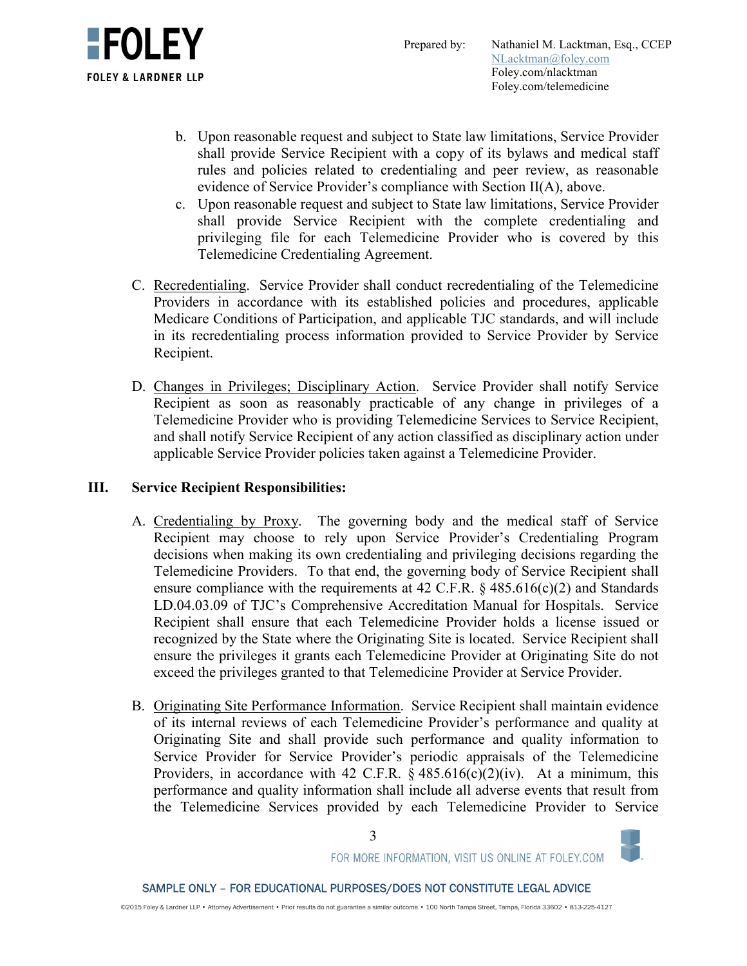



- b. Upon reasonable request and subject to State law limitations, Service Provider shall provide Service Recipient with a copy of its bylaws and medical staff rules and policies related to credentialing and peer review, as reasonable evidence of Service Provider's compliance with Section II(A), above.
- c. Upon reasonable request and subject to State law limitations, Service Provider shall provide Service Recipient with the complete credentialing and privileging file for each Telemedicine Provider who is covered by this Telemedicine Credentialing Agreement.
- C. Recredentialing. Service Provider shall conduct recredentialing of the Telemedicine Providers in accordance with its established policies and procedures, applicable Medicare Conditions of Participation, and applicable TJC standards, and will include in its recredentialing process information provided to Service Provider by Service Recipient.
- D. Changes in Privileges; Disciplinary Action. Service Provider shall notify Service Recipient as soon as reasonably practicable of any change in privileges of a Telemedicine Provider who is providing Telemedicine Services to Service Recipient, and shall notify Service Recipient of any action classified as disciplinary action under applicable Service Provider policies taken against a Telemedicine Provider.

## **III. Service Recipient Responsibilities:**

- A. Credentialing by Proxy. The governing body and the medical staff of Service Recipient may choose to rely upon Service Provider's Credentialing Program decisions when making its own credentialing and privileging decisions regarding the Telemedicine Providers. To that end, the governing body of Service Recipient shall ensure compliance with the requirements at 42 C.F.R.  $\S$  485.616(c)(2) and Standards LD.04.03.09 of TJC's Comprehensive Accreditation Manual for Hospitals. Service Recipient shall ensure that each Telemedicine Provider holds a license issued or recognized by the State where the Originating Site is located. Service Recipient shall ensure the privileges it grants each Telemedicine Provider at Originating Site do not exceed the privileges granted to that Telemedicine Provider at Service Provider.
- B. Originating Site Performance Information. Service Recipient shall maintain evidence of its internal reviews of each Telemedicine Provider's performance and quality at Originating Site and shall provide such performance and quality information to Service Provider for Service Provider's periodic appraisals of the Telemedicine Providers, in accordance with 42 C.F.R.  $\S$  485.616(c)(2)(iv). At a minimum, this performance and quality information shall include all adverse events that result from the Telemedicine Services provided by each Telemedicine Provider to Service



FOR MORE INFORMATION, VISIT US ONLINE AT FOLEY.COM

3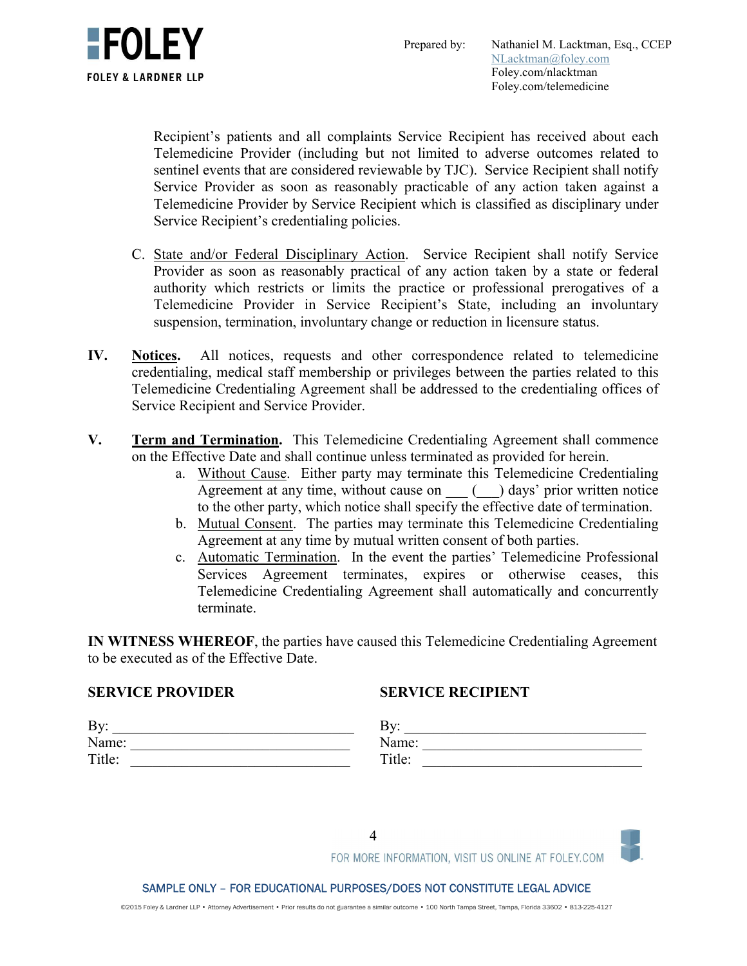

Recipient's patients and all complaints Service Recipient has received about each Telemedicine Provider (including but not limited to adverse outcomes related to sentinel events that are considered reviewable by TJC). Service Recipient shall notify Service Provider as soon as reasonably practicable of any action taken against a Telemedicine Provider by Service Recipient which is classified as disciplinary under Service Recipient's credentialing policies.

- C. State and/or Federal Disciplinary Action. Service Recipient shall notify Service Provider as soon as reasonably practical of any action taken by a state or federal authority which restricts or limits the practice or professional prerogatives of a Telemedicine Provider in Service Recipient's State, including an involuntary suspension, termination, involuntary change or reduction in licensure status.
- **IV. Notices.** All notices, requests and other correspondence related to telemedicine credentialing, medical staff membership or privileges between the parties related to this Telemedicine Credentialing Agreement shall be addressed to the credentialing offices of Service Recipient and Service Provider.
- **V. Term and Termination.** This Telemedicine Credentialing Agreement shall commence on the Effective Date and shall continue unless terminated as provided for herein.
	- a. Without Cause. Either party may terminate this Telemedicine Credentialing Agreement at any time, without cause on  $\qquad$  ( $\qquad$ ) days' prior written notice to the other party, which notice shall specify the effective date of termination.
	- b. Mutual Consent. The parties may terminate this Telemedicine Credentialing Agreement at any time by mutual written consent of both parties.
	- c. Automatic Termination. In the event the parties' Telemedicine Professional Services Agreement terminates, expires or otherwise ceases, this Telemedicine Credentialing Agreement shall automatically and concurrently terminate.

**IN WITNESS WHEREOF**, the parties have caused this Telemedicine Credentialing Agreement to be executed as of the Effective Date.

# **SERVICE PROVIDER**

# **SERVICE RECIPIENT**

| By:    | D<br>് |
|--------|--------|
| Name:  | Name:  |
| Title: | Title: |

FOR MORE INFORMATION, VISIT US ONLINE AT FOLEY.COM

#### SAMPLE ONLY – FOR EDUCATIONAL PURPOSES/DOES NOT CONSTITUTE LEGAL ADVICE

©2015 Foley & Lardner LLP • Attorney Advertisement • Prior results do not guarantee a similar outcome • 100 North Tampa Street, Tampa, Florida 33602 • 813-225-4127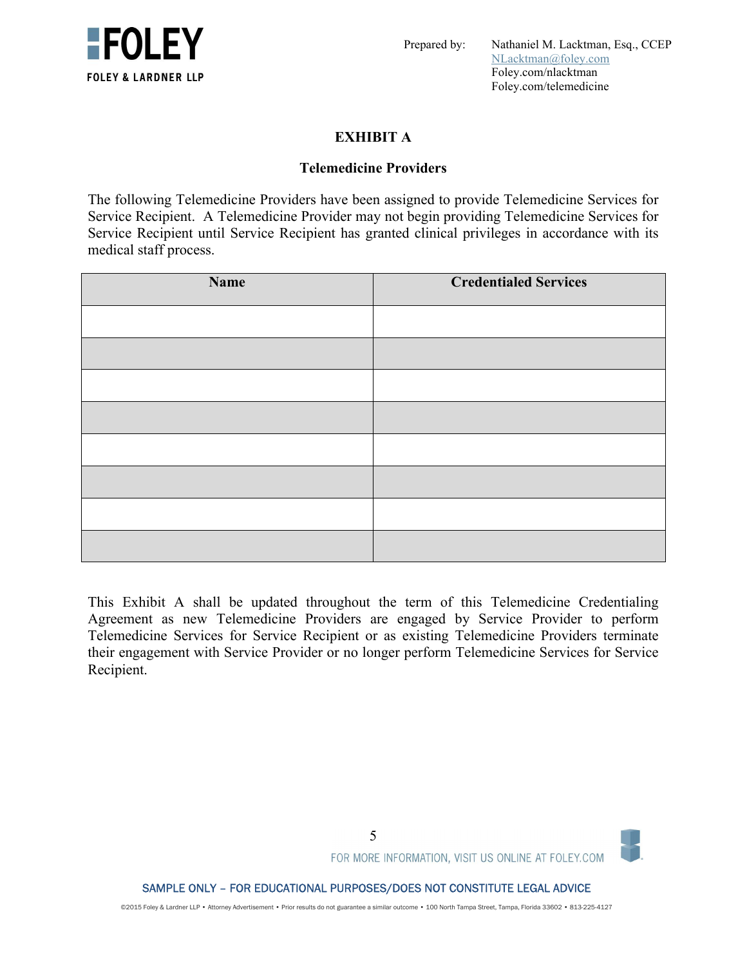

Prepared by: Nathaniel M. Lacktman, Esq., CCEP NLacktman@foley.com Foley.com/nlacktman Foley.com/telemedicine

# **EXHIBIT A**

### **Telemedicine Providers**

The following Telemedicine Providers have been assigned to provide Telemedicine Services for Service Recipient. A Telemedicine Provider may not begin providing Telemedicine Services for Service Recipient until Service Recipient has granted clinical privileges in accordance with its medical staff process.

| Name | <b>Credentialed Services</b> |
|------|------------------------------|
|      |                              |
|      |                              |
|      |                              |
|      |                              |
|      |                              |
|      |                              |
|      |                              |
|      |                              |

This Exhibit A shall be updated throughout the term of this Telemedicine Credentialing Agreement as new Telemedicine Providers are engaged by Service Provider to perform Telemedicine Services for Service Recipient or as existing Telemedicine Providers terminate their engagement with Service Provider or no longer perform Telemedicine Services for Service Recipient.

©2015 Foley & Lardner LLP • Attorney Advertisement • Prior results do not guarantee a similar outcome • 100 North Tampa Street, Tampa, Florida 33602 • 813-225-4127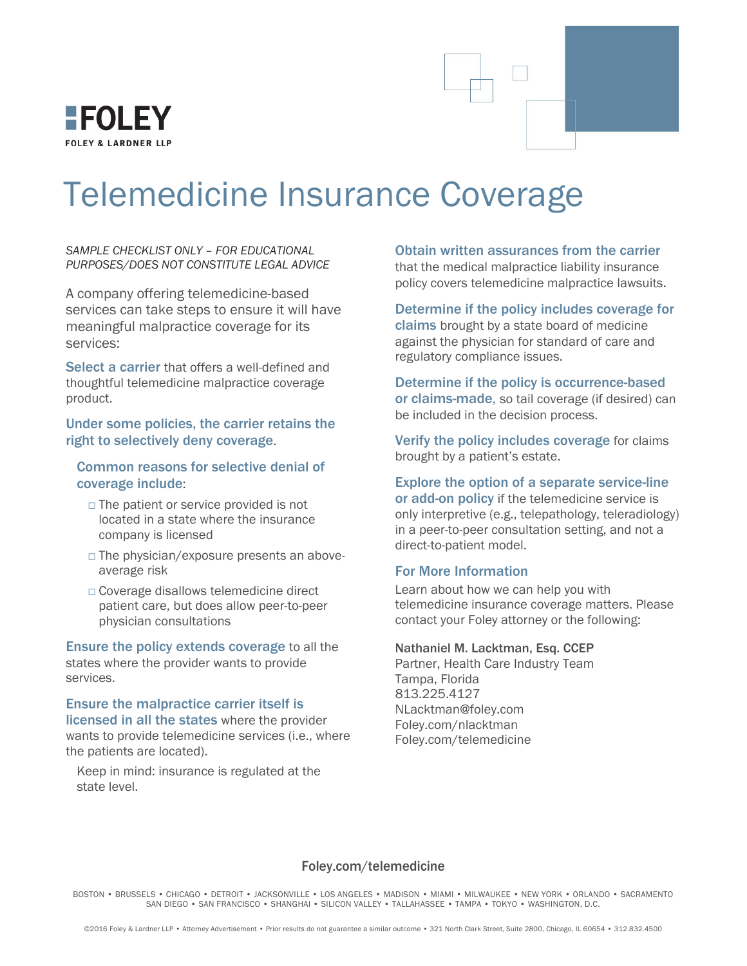

# Telemedicine Insurance Coverage

*SAMPLE CHECKLIST ONLY – FOR EDUCATIONAL PURPOSES/DOES NOT CONSTITUTE LEGAL ADVICE* 

A company offering telemedicine-based services can take steps to ensure it will have meaningful malpractice coverage for its services:

Select a carrier that offers a well-defined and thoughtful telemedicine malpractice coverage product.

Under some policies, the carrier retains the right to selectively deny coverage.

Common reasons for selective denial of coverage include:

- $\Box$  The patient or service provided is not located in a state where the insurance company is licensed
- □ The physician/exposure presents an aboveaverage risk
- □ Coverage disallows telemedicine direct patient care, but does allow peer-to-peer physician consultations

Ensure the policy extends coverage to all the states where the provider wants to provide services.

# Ensure the malpractice carrier itself is

licensed in all the states where the provider wants to provide telemedicine services (i.e., where the patients are located).

Keep in mind: insurance is regulated at the state level.

Obtain written assurances from the carrier that the medical malpractice liability insurance policy covers telemedicine malpractice lawsuits.

Determine if the policy includes coverage for claims brought by a state board of medicine against the physician for standard of care and regulatory compliance issues.

Determine if the policy is occurrence-based or claims-made, so tail coverage (if desired) can be included in the decision process.

Verify the policy includes coverage for claims brought by a patient's estate.

#### Explore the option of a separate service-line

or add-on policy if the telemedicine service is only interpretive (e.g., telepathology, teleradiology) in a peer-to-peer consultation setting, and not a direct-to-patient model.

#### For More Information

Learn about how we can help you with telemedicine insurance coverage matters. Please contact your Foley attorney or the following:

#### Nathaniel M. Lacktman, Esq. CCEP

Partner, Health Care Industry Team Tampa, Florida 813.225.4127 NLacktman@foley.com Foley.com/nlacktman Foley.com/telemedicine

#### Foley.com/telemedicine

BOSTON • BRUSSELS • CHICAGO • DETROIT • JACKSONVILLE • LOS ANGELES • MADISON • MIAMI • MILWAUKEE • NEW YORK • ORLANDO • SACRAMENTO SAN DIEGO • SAN FRANCISCO • SHANGHAI • SILICON VALLEY • TALLAHASSEE • TAMPA • TOKYO • WASHINGTON, D.C.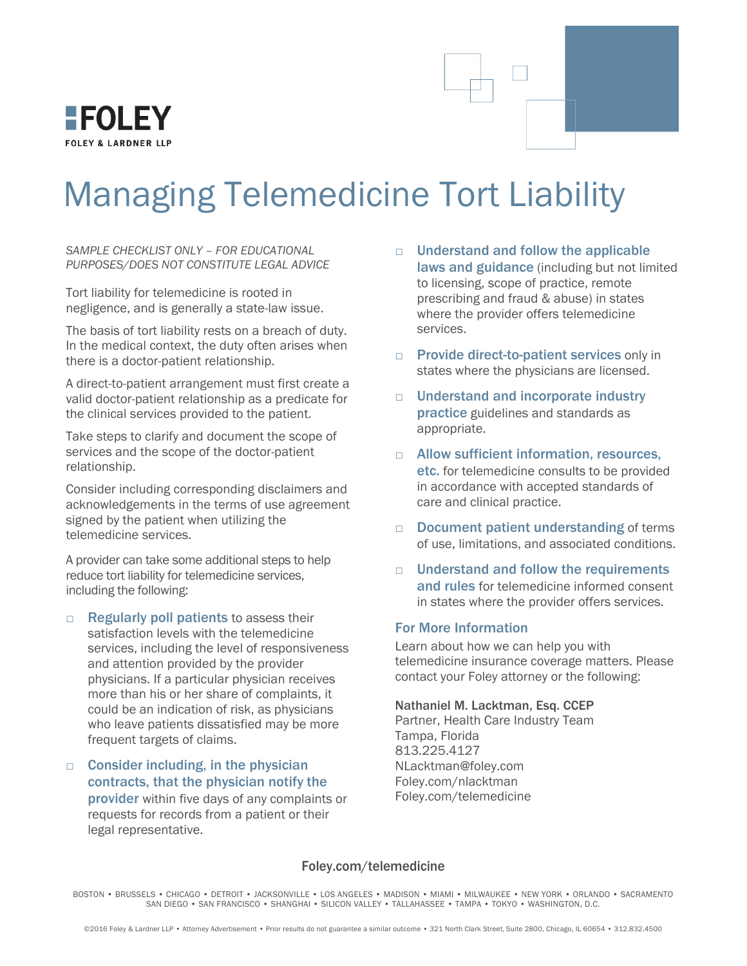

# Managing Telemedicine Tort Liability

*SAMPLE CHECKLIST ONLY – FOR EDUCATIONAL PURPOSES/DOES NOT CONSTITUTE LEGAL ADVICE* 

Tort liability for telemedicine is rooted in negligence, and is generally a state-law issue.

The basis of tort liability rests on a breach of duty. In the medical context, the duty often arises when there is a doctor-patient relationship.

A direct-to-patient arrangement must first create a valid doctor-patient relationship as a predicate for the clinical services provided to the patient.

Take steps to clarify and document the scope of services and the scope of the doctor-patient relationship.

Consider including corresponding disclaimers and acknowledgements in the terms of use agreement signed by the patient when utilizing the telemedicine services.

A provider can take some additional steps to help reduce tort liability for telemedicine services, including the following:

- $\Box$  Regularly poll patients to assess their satisfaction levels with the telemedicine services, including the level of responsiveness and attention provided by the provider physicians. If a particular physician receives more than his or her share of complaints, it could be an indication of risk, as physicians who leave patients dissatisfied may be more frequent targets of claims.
- $\Box$  Consider including, in the physician contracts, that the physician notify the provider within five days of any complaints or requests for records from a patient or their legal representative.
- $\neg$  Understand and follow the applicable laws and guidance (including but not limited to licensing, scope of practice, remote prescribing and fraud & abuse) in states where the provider offers telemedicine services.
- □ Provide direct-to-patient services only in states where the physicians are licensed.
- □ Understand and incorporate industry practice guidelines and standards as appropriate.
- □ Allow sufficient information, resources, etc. for telemedicine consults to be provided in accordance with accepted standards of care and clinical practice.
- $\Box$  Document patient understanding of terms of use, limitations, and associated conditions.
- □ Understand and follow the requirements and rules for telemedicine informed consent in states where the provider offers services.

#### For More Information

Learn about how we can help you with telemedicine insurance coverage matters. Please contact your Foley attorney or the following:

Nathaniel M. Lacktman, Esq. CCEP Partner, Health Care Industry Team Tampa, Florida 813.225.4127 NLacktman@foley.com Foley.com/nlacktman Foley.com/telemedicine

#### Foley.com/telemedicine

BOSTON • BRUSSELS • CHICAGO • DETROIT • JACKSONVILLE • LOS ANGELES • MADISON • MIAMI • MILWAUKEE • NEW YORK • ORLANDO • SACRAMENTO SAN DIEGO • SAN FRANCISCO • SHANGHAI • SILICON VALLEY • TALLAHASSEE • TAMPA • TOKYO • WASHINGTON, D.C.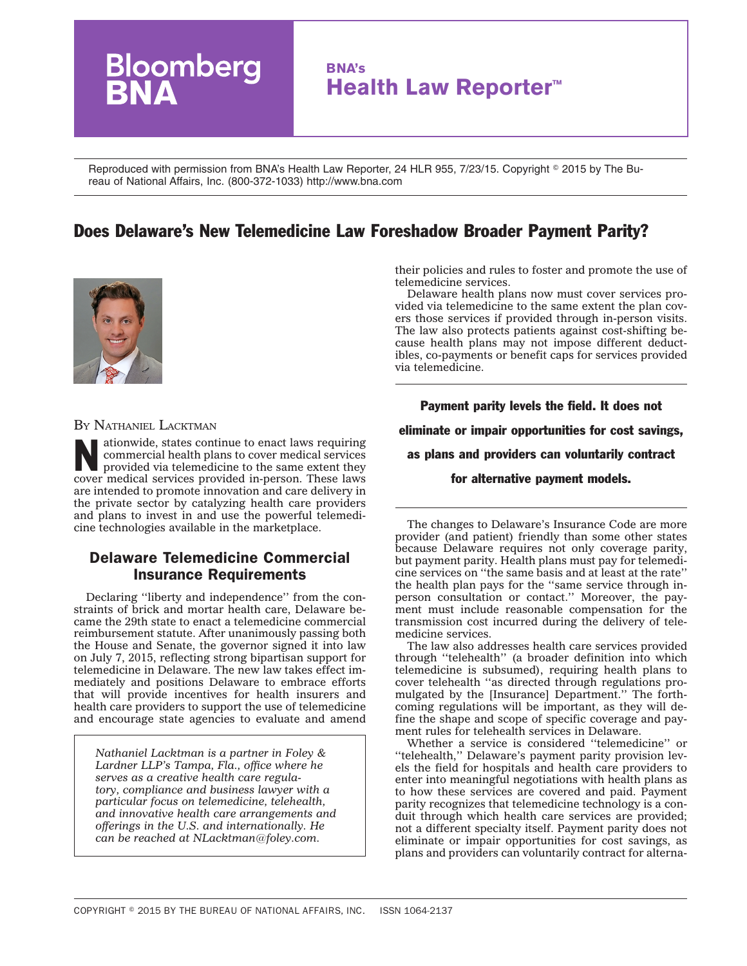

Reproduced with permission from BNA's Health Law Reporter, 24 HLR 955, 7/23/15. Copyright © 2015 by The Bureau of National Affairs, Inc. (800-372-1033) http://www.bna.com

# Does Delaware's New Telemedicine Law Foreshadow Broader Payment Parity?



#### BY NATHANIEL LACKTMAN

ationwide, states continue to enact laws requiring commercial health plans to cover medical services provided via telemedicine to the same extent they cover medical services provided in-person. These laws are intended to promote innovation and care delivery in the private sector by catalyzing health care providers and plans to invest in and use the powerful telemedicine technologies available in the marketplace.

### Delaware Telemedicine Commercial Insurance Requirements

Declaring ''liberty and independence'' from the constraints of brick and mortar health care, Delaware became the 29th state to enact a telemedicine commercial reimbursement statute. After unanimously passing both the House and Senate, the governor signed it into law on July 7, 2015, reflecting strong bipartisan support for telemedicine in Delaware. The new law takes effect immediately and positions Delaware to embrace efforts that will provide incentives for health insurers and health care providers to support the use of telemedicine and encourage state agencies to evaluate and amend

*Nathaniel Lacktman is a partner in Foley & Lardner LLP's Tampa, Fla., office where he serves as a creative health care regulatory, compliance and business lawyer with a particular focus on telemedicine, telehealth, and innovative health care arrangements and offerings in the U.S. and internationally. He can be reached at [NLacktman@foley.com.](mailto:NLacktman@foley.com)*

their policies and rules to foster and promote the use of telemedicine services.

Delaware health plans now must cover services provided via telemedicine to the same extent the plan covers those services if provided through in-person visits. The law also protects patients against cost-shifting because health plans may not impose different deductibles, co-payments or benefit caps for services provided via telemedicine.

Payment parity levels the field. It does not eliminate or impair opportunities for cost savings, as plans and providers can voluntarily contract

for alternative payment models.

The changes to Delaware's Insurance Code are more provider (and patient) friendly than some other states because Delaware requires not only coverage parity, but payment parity. Health plans must pay for telemedicine services on ''the same basis and at least at the rate'' the health plan pays for the ''same service through inperson consultation or contact.'' Moreover, the payment must include reasonable compensation for the transmission cost incurred during the delivery of telemedicine services.

The law also addresses health care services provided through ''telehealth'' (a broader definition into which telemedicine is subsumed), requiring health plans to cover telehealth ''as directed through regulations promulgated by the [Insurance] Department.'' The forthcoming regulations will be important, as they will define the shape and scope of specific coverage and payment rules for telehealth services in Delaware.

Whether a service is considered ''telemedicine'' or ''telehealth,'' Delaware's payment parity provision levels the field for hospitals and health care providers to enter into meaningful negotiations with health plans as to how these services are covered and paid. Payment parity recognizes that telemedicine technology is a conduit through which health care services are provided; not a different specialty itself. Payment parity does not eliminate or impair opportunities for cost savings, as plans and providers can voluntarily contract for alterna